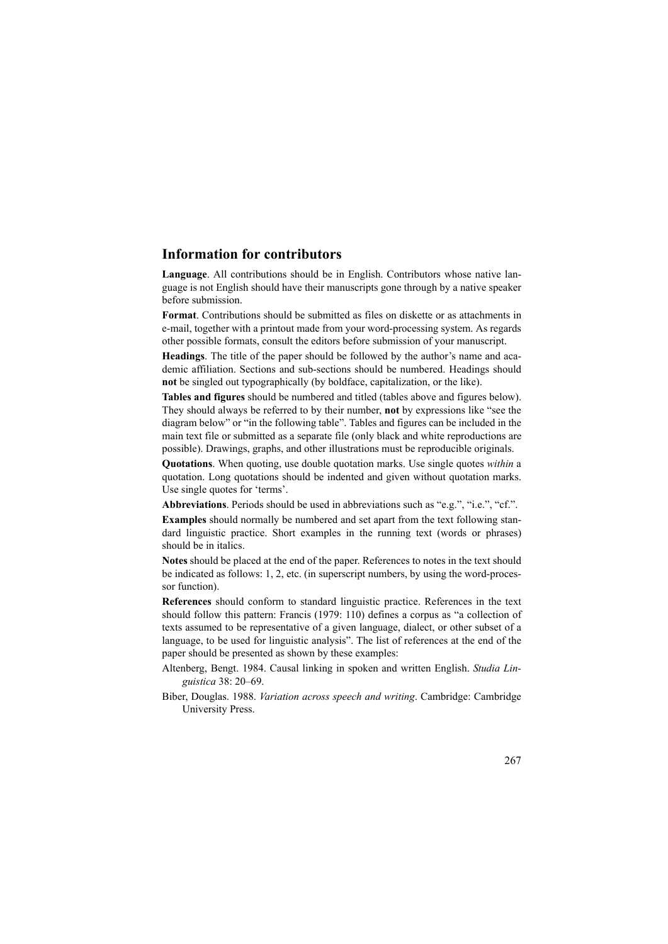## **Information for contributors**

**Language**. All contributions should be in English. Contributors whose native language is not English should have their manuscripts gone through by a native speaker before submission.

**Format**. Contributions should be submitted as files on diskette or as attachments in e-mail, together with a printout made from your word-processing system. As regards other possible formats, consult the editors before submission of your manuscript.

**Headings**. The title of the paper should be followed by the author's name and academic affiliation. Sections and sub-sections should be numbered. Headings should **not** be singled out typographically (by boldface, capitalization, or the like).

**Tables and figures** should be numbered and titled (tables above and figures below). They should always be referred to by their number, **not** by expressions like "see the diagram below" or "in the following table". Tables and figures can be included in the main text file or submitted as a separate file (only black and white reproductions are possible). Drawings, graphs, and other illustrations must be reproducible originals.

**Quotations**. When quoting, use double quotation marks. Use single quotes *within* a quotation. Long quotations should be indented and given without quotation marks. Use single quotes for 'terms'.

**Abbreviations**. Periods should be used in abbreviations such as "e.g.", "i.e.", "cf.".

**Examples** should normally be numbered and set apart from the text following standard linguistic practice. Short examples in the running text (words or phrases) should be in italics.

**Notes** should be placed at the end of the paper. References to notes in the text should be indicated as follows: 1, 2, etc. (in superscript numbers, by using the word-processor function).

**References** should conform to standard linguistic practice. References in the text should follow this pattern: Francis (1979: 110) defines a corpus as "a collection of texts assumed to be representative of a given language, dialect, or other subset of a language, to be used for linguistic analysis". The list of references at the end of the paper should be presented as shown by these examples:

- Altenberg, Bengt. 1984. Causal linking in spoken and written English. *Studia Linguistica* 38: 20–69.
- Biber, Douglas. 1988. *Variation across speech and writing*. Cambridge: Cambridge University Press.